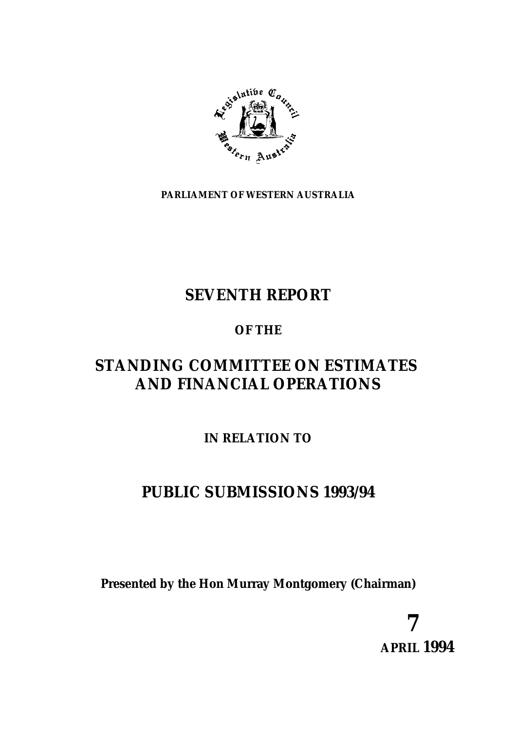

**PARLIAMENT OF WESTERN AUSTRALIA**

# **SEVENTH REPORT**

# **OF THE**

# **STANDING COMMITTEE ON ESTIMATES AND FINANCIAL OPERATIONS**

# **IN RELATION TO**

# **PUBLIC SUBMISSIONS 1993/94**

**Presented by the Hon Murray Montgomery (Chairman)**

**7 APRIL 1994**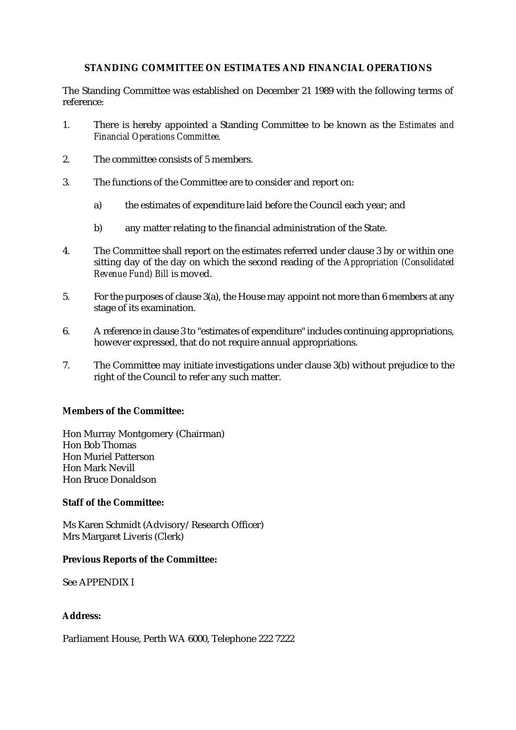# **STANDING COMMITTEE ON ESTIMATES AND FINANCIAL OPERATIONS**

The Standing Committee was established on December 21 1989 with the following terms of reference:

- 1. There is hereby appointed a Standing Committee to be known as the *Estimates and Financial Operations Committee.*
- 2. The committee consists of 5 members.
- 3. The functions of the Committee are to consider and report on:
	- a) the estimates of expenditure laid before the Council each year; and
	- b) any matter relating to the financial administration of the State.
- 4. The Committee shall report on the estimates referred under clause 3 by or within one sitting day of the day on which the second reading of the *Appropriation (Consolidated Revenue Fund) Bill* is moved.
- 5. For the purposes of clause 3(a), the House may appoint not more than 6 members at any stage of its examination.
- 6. A reference in clause 3 to "estimates of expenditure" includes continuing appropriations, however expressed, that do not require annual appropriations.
- 7. The Committee may initiate investigations under clause 3(b) without prejudice to the right of the Council to refer any such matter.

#### **Members of the Committee:**

Hon Murray Montgomery (Chairman) Hon Bob Thomas Hon Muriel Patterson Hon Mark Nevill Hon Bruce Donaldson

#### **Staff of the Committee:**

Ms Karen Schmidt (Advisory/Research Officer) Mrs Margaret Liveris (Clerk)

#### **Previous Reports of the Committee:**

See APPENDIX I

#### **Address:**

Parliament House, Perth WA 6000, Telephone 222 7222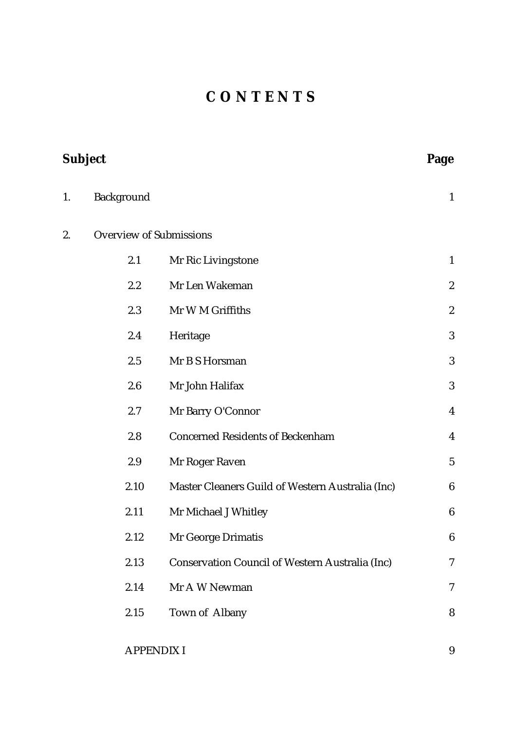# **C O N T E N T S**

| Subject |                                |                                                  | Page                    |
|---------|--------------------------------|--------------------------------------------------|-------------------------|
| 1.      | Background                     |                                                  | $\mathbf{1}$            |
| 2.      | <b>Overview of Submissions</b> |                                                  |                         |
|         | 2.1                            | Mr Ric Livingstone                               | $\mathbf{1}$            |
|         | 2.2                            | Mr Len Wakeman                                   | $\boldsymbol{2}$        |
|         | 2.3                            | Mr W M Griffiths                                 | $\boldsymbol{2}$        |
|         | 2.4                            | Heritage                                         | 3                       |
|         | 2.5                            | Mr B S Horsman                                   | 3                       |
|         | 2.6                            | Mr John Halifax                                  | 3                       |
|         | 2.7                            | Mr Barry O'Connor                                | $\overline{\mathbf{4}}$ |
|         | 2.8                            | <b>Concerned Residents of Beckenham</b>          | $\overline{4}$          |
|         | 2.9                            | Mr Roger Raven                                   | $5\phantom{.0}$         |
|         | 2.10                           | Master Cleaners Guild of Western Australia (Inc) | $6\phantom{1}6$         |
|         | 2.11                           | Mr Michael J Whitley                             | $\boldsymbol{6}$        |
|         | 2.12                           | Mr George Drimatis                               | $\boldsymbol{6}$        |
|         | 2.13                           | Conservation Council of Western Australia (Inc)  | $\tau$                  |
|         | 2.14                           | Mr A W Newman                                    | 7                       |
|         | 2.15                           | Town of Albany                                   | 8                       |
|         |                                |                                                  |                         |

APPENDIX I 9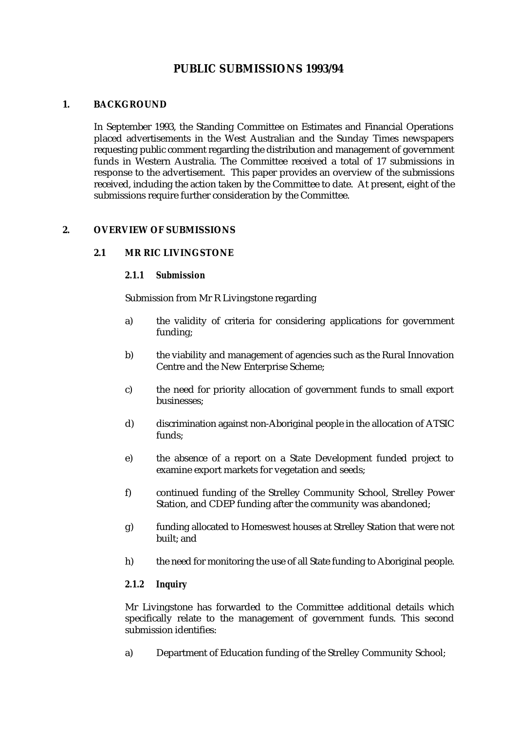# **PUBLIC SUBMISSIONS 1993/94**

# **1. BACKGROUND**

In September 1993, the Standing Committee on Estimates and Financial Operations placed advertisements in the West Australian and the Sunday Times newspapers requesting public comment regarding the distribution and management of government funds in Western Australia. The Committee received a total of 17 submissions in response to the advertisement. This paper provides an overview of the submissions received, including the action taken by the Committee to date. At present, eight of the submissions require further consideration by the Committee.

# **2. OVERVIEW OF SUBMISSIONS**

# **2.1 MR RIC LIVINGSTONE**

#### *2.1.1 Submission*

Submission from Mr R Livingstone regarding

- a) the validity of criteria for considering applications for government funding;
- b) the viability and management of agencies such as the Rural Innovation Centre and the New Enterprise Scheme;
- c) the need for priority allocation of government funds to small export businesses;
- d) discrimination against non-Aboriginal people in the allocation of ATSIC funds;
- e) the absence of a report on a State Development funded project to examine export markets for vegetation and seeds;
- f) continued funding of the Strelley Community School, Strelley Power Station, and CDEP funding after the community was abandoned;
- g) funding allocated to Homeswest houses at Strelley Station that were not built; and
- h) the need for monitoring the use of all State funding to Aboriginal people.

# *2.1.2 Inquiry*

Mr Livingstone has forwarded to the Committee additional details which specifically relate to the management of government funds. This second submission identifies:

a) Department of Education funding of the Strelley Community School;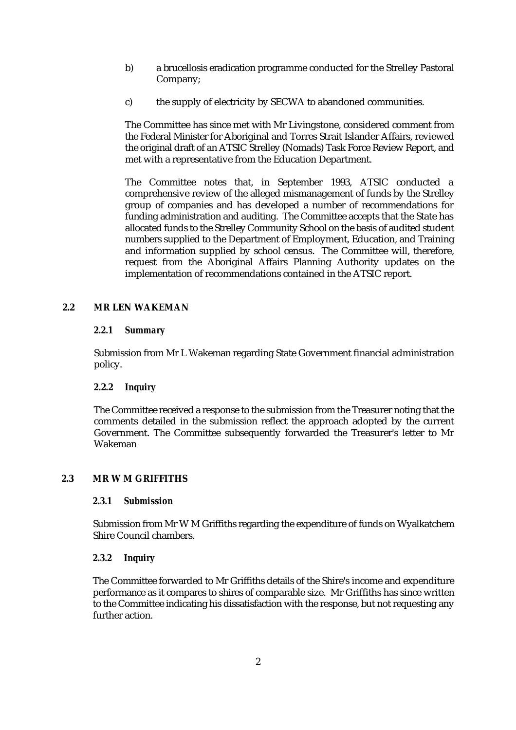- b) a brucellosis eradication programme conducted for the Strelley Pastoral Company;
- c) the supply of electricity by SECWA to abandoned communities.

The Committee has since met with Mr Livingstone, considered comment from the Federal Minister for Aboriginal and Torres Strait Islander Affairs, reviewed the original draft of an ATSIC Strelley (Nomads) Task Force Review Report, and met with a representative from the Education Department.

The Committee notes that, in September 1993, ATSIC conducted a comprehensive review of the alleged mismanagement of funds by the Strelley group of companies and has developed a number of recommendations for funding administration and auditing. The Committee accepts that the State has allocated funds to the Strelley Community School on the basis of audited student numbers supplied to the Department of Employment, Education, and Training and information supplied by school census. The Committee will, therefore, request from the Aboriginal Affairs Planning Authority updates on the implementation of recommendations contained in the ATSIC report.

# **2.2 MR LEN WAKEMAN**

# *2.2.1 Summary*

Submission from Mr L Wakeman regarding State Government financial administration policy.

# *2.***2.2** *Inquiry*

The Committee received a response to the submission from the Treasurer noting that the comments detailed in the submission reflect the approach adopted by the current Government. The Committee subsequently forwarded the Treasurer's letter to Mr Wakeman

# **2.3 MR W M GRIFFITHS**

# *2.3.1 Submission*

Submission from Mr W M Griffiths regarding the expenditure of funds on Wyalkatchem Shire Council chambers.

# *2.3.2 Inquiry*

The Committee forwarded to Mr Griffiths details of the Shire's income and expenditure performance as it compares to shires of comparable size. Mr Griffiths has since written to the Committee indicating his dissatisfaction with the response, but not requesting any further action.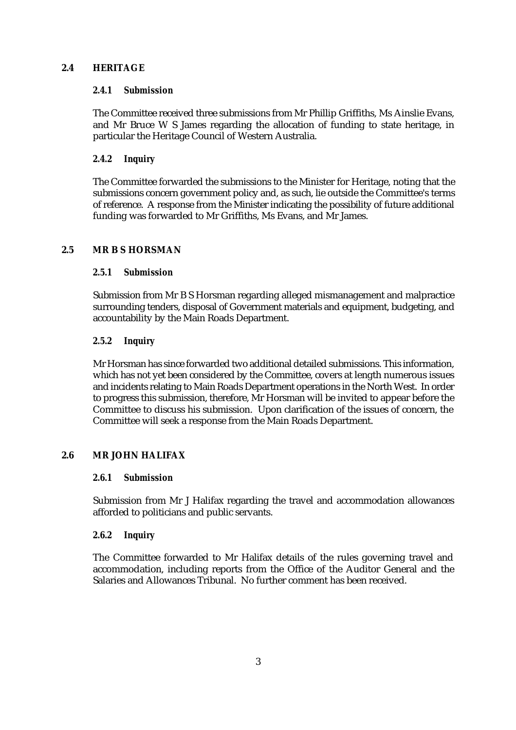# **2.4 HERITAGE**

#### *2.4.1 Submission*

The Committee received three submissions from Mr Phillip Griffiths, Ms Ainslie Evans, and Mr Bruce W S James regarding the allocation of funding to state heritage, in particular the Heritage Council of Western Australia.

# *2.4.2 Inquiry*

The Committee forwarded the submissions to the Minister for Heritage, noting that the submissions concern government policy and, as such, lie outside the Committee's terms of reference. A response from the Minister indicating the possibility of future additional funding was forwarded to Mr Griffiths, Ms Evans, and Mr James.

# **2.5 MR B S HORSMAN**

#### *2.5.1 Submission*

Submission from Mr B S Horsman regarding alleged mismanagement and malpractice surrounding tenders, disposal of Government materials and equipment, budgeting, and accountability by the Main Roads Department.

# *2.5.2 Inquiry*

Mr Horsman has since forwarded two additional detailed submissions. This information, which has not yet been considered by the Committee, covers at length numerous issues and incidents relating to Main Roads Department operations in the North West. In order to progress this submission, therefore, Mr Horsman will be invited to appear before the Committee to discuss his submission. Upon clarification of the issues of concern, the Committee will seek a response from the Main Roads Department.

# **2.6 MR JOHN HALIFAX**

#### *2.6.1 Submission*

Submission from Mr J Halifax regarding the travel and accommodation allowances afforded to politicians and public servants.

#### *2.6.2 Inquiry*

The Committee forwarded to Mr Halifax details of the rules governing travel and accommodation, including reports from the Office of the Auditor General and the Salaries and Allowances Tribunal. No further comment has been received.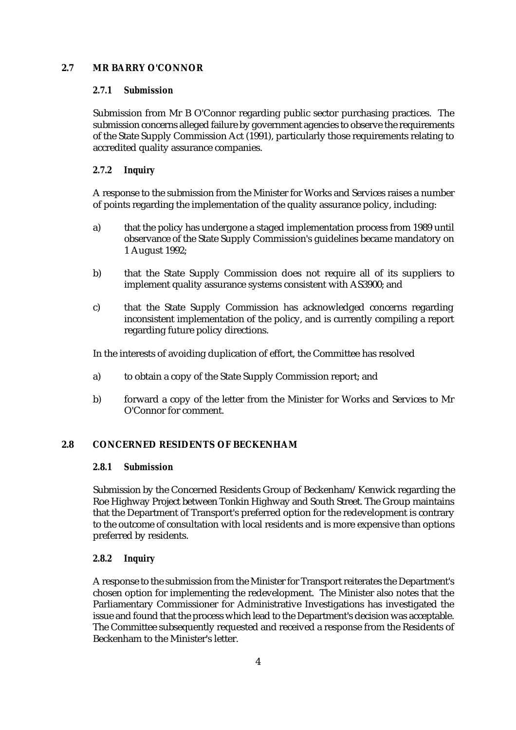# **2.7 MR BARRY O'CONNOR**

# *2.7.1 Submission*

Submission from Mr B O'Connor regarding public sector purchasing practices. The submission concerns alleged failure by government agencies to observe the requirements of the State Supply Commission Act (1991), particularly those requirements relating to accredited quality assurance companies.

# *2.7.2 Inquiry*

A response to the submission from the Minister for Works and Services raises a number of points regarding the implementation of the quality assurance policy, including:

- a) that the policy has undergone a staged implementation process from 1989 until observance of the State Supply Commission's guidelines became mandatory on 1 August 1992;
- b) that the State Supply Commission does not require all of its suppliers to implement quality assurance systems consistent with AS3900; and
- c) that the State Supply Commission has acknowledged concerns regarding inconsistent implementation of the policy, and is currently compiling a report regarding future policy directions.

In the interests of avoiding duplication of effort, the Committee has resolved

- a) to obtain a copy of the State Supply Commission report; and
- b) forward a copy of the letter from the Minister for Works and Services to Mr O'Connor for comment.

# **2.8 CONCERNED RESIDENTS OF BECKENHAM**

# *2.8.1 Submission*

Submission by the Concerned Residents Group of Beckenham/Kenwick regarding the Roe Highway Project between Tonkin Highway and South Street. The Group maintains that the Department of Transport's preferred option for the redevelopment is contrary to the outcome of consultation with local residents and is more expensive than options preferred by residents.

# *2.8.2 Inquiry*

A response to the submission from the Minister for Transport reiterates the Department's chosen option for implementing the redevelopment. The Minister also notes that the Parliamentary Commissioner for Administrative Investigations has investigated the issue and found that the process which lead to the Department's decision was acceptable. The Committee subsequently requested and received a response from the Residents of Beckenham to the Minister's letter.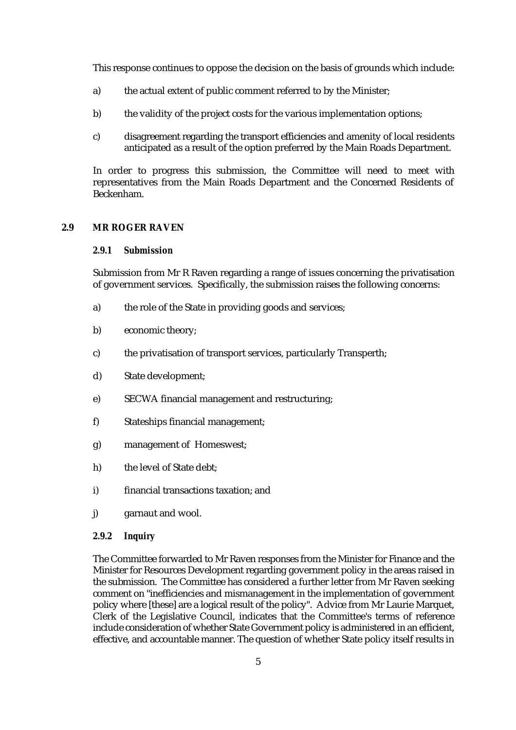This response continues to oppose the decision on the basis of grounds which include:

- a) the actual extent of public comment referred to by the Minister;
- b) the validity of the project costs for the various implementation options;
- c) disagreement regarding the transport efficiencies and amenity of local residents anticipated as a result of the option preferred by the Main Roads Department.

In order to progress this submission, the Committee will need to meet with representatives from the Main Roads Department and the Concerned Residents of Beckenham.

#### **2.9 MR ROGER RAVEN**

#### *2.9.1 Submission*

Submission from Mr R Raven regarding a range of issues concerning the privatisation of government services. Specifically, the submission raises the following concerns:

- a) the role of the State in providing goods and services;
- b) economic theory;
- c) the privatisation of transport services, particularly Transperth;
- d) State development;
- e) SECWA financial management and restructuring;
- f) Stateships financial management;
- g) management of Homeswest;
- h) the level of State debt;
- i) financial transactions taxation; and
- j) garnaut and wool.

#### *2.9.2 Inquiry*

The Committee forwarded to Mr Raven responses from the Minister for Finance and the Minister for Resources Development regarding government policy in the areas raised in the submission. The Committee has considered a further letter from Mr Raven seeking comment on "inefficiencies and mismanagement in the implementation of government policy where [these] are a logical result of the policy". Advice from Mr Laurie Marquet, Clerk of the Legislative Council, indicates that the Committee's terms of reference include consideration of whether State Government policy is administered in an efficient, effective, and accountable manner. The question of whether State policy itself results in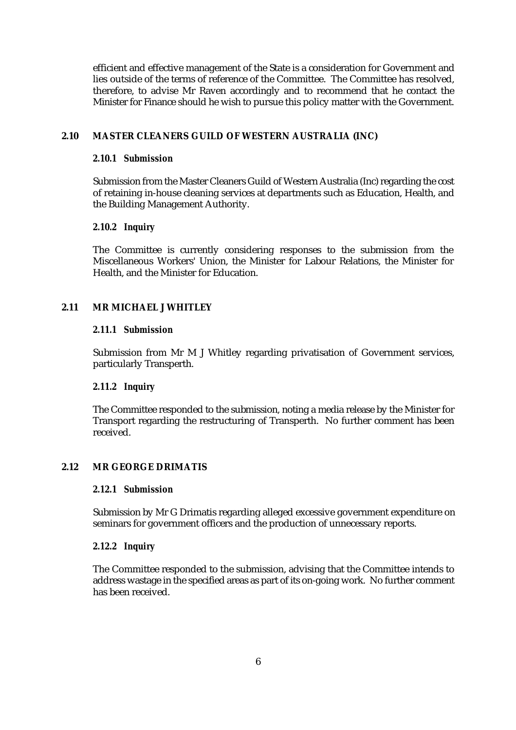efficient and effective management of the State is a consideration for Government and lies outside of the terms of reference of the Committee. The Committee has resolved, therefore, to advise Mr Raven accordingly and to recommend that he contact the Minister for Finance should he wish to pursue this policy matter with the Government.

#### **2.10 MASTER CLEANERS GUILD OF WESTERN AUSTRALIA (INC)**

#### *2.10.1 Submission*

Submission from the Master Cleaners Guild of Western Australia (Inc) regarding the cost of retaining in-house cleaning services at departments such as Education, Health, and the Building Management Authority.

#### *2.10.2 Inquiry*

The Committee is currently considering responses to the submission from the Miscellaneous Workers' Union, the Minister for Labour Relations, the Minister for Health, and the Minister for Education.

#### **2.11 MR MICHAEL J WHITLEY**

#### *2.11.1 Submission*

Submission from Mr M J Whitley regarding privatisation of Government services, particularly Transperth.

#### *2.11.2 Inquiry*

The Committee responded to the submission, noting a media release by the Minister for Transport regarding the restructuring of Transperth. No further comment has been received.

#### **2.12 MR GEORGE DRIMATIS**

#### *2.12.1 Submission*

Submission by Mr G Drimatis regarding alleged excessive government expenditure on seminars for government officers and the production of unnecessary reports.

#### *2.12.2 Inquiry*

The Committee responded to the submission, advising that the Committee intends to address wastage in the specified areas as part of its on-going work. No further comment has been received.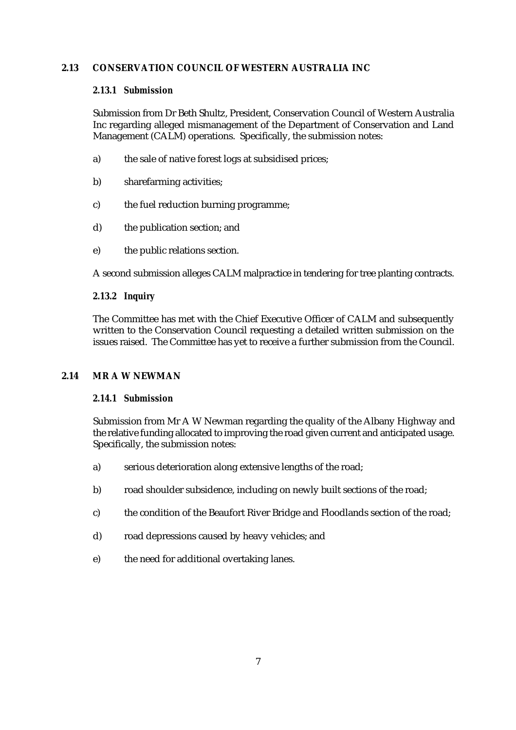# **2.13 CONSERVATION COUNCIL OF WESTERN AUSTRALIA INC**

#### *2.13.1 Submission*

Submission from Dr Beth Shultz, President, Conservation Council of Western Australia Inc regarding alleged mismanagement of the Department of Conservation and Land Management (CALM) operations. Specifically, the submission notes:

- a) the sale of native forest logs at subsidised prices;
- b) sharefarming activities;
- c) the fuel reduction burning programme;
- d) the publication section; and
- e) the public relations section.

A second submission alleges CALM malpractice in tendering for tree planting contracts.

#### *2.13.2 Inquiry*

The Committee has met with the Chief Executive Officer of CALM and subsequently written to the Conservation Council requesting a detailed written submission on the issues raised. The Committee has yet to receive a further submission from the Council.

#### **2.14 MR A W NEWMAN**

# *2.14.1 Submission*

Submission from Mr A W Newman regarding the quality of the Albany Highway and the relative funding allocated to improving the road given current and anticipated usage. Specifically, the submission notes:

- a) serious deterioration along extensive lengths of the road;
- b) road shoulder subsidence, including on newly built sections of the road;
- c) the condition of the Beaufort River Bridge and Floodlands section of the road;
- d) road depressions caused by heavy vehicles; and
- e) the need for additional overtaking lanes.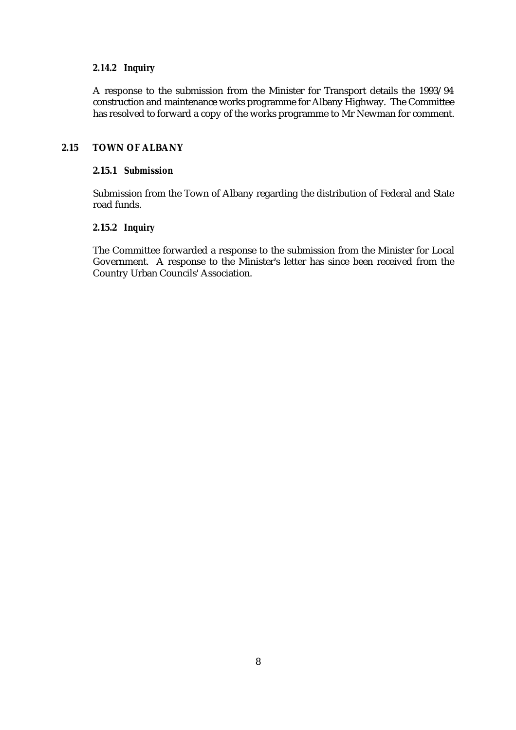#### *2.14.2 Inquiry*

A response to the submission from the Minister for Transport details the 1993/94 construction and maintenance works programme for Albany Highway. The Committee has resolved to forward a copy of the works programme to Mr Newman for comment.

#### **2.15 TOWN OF ALBANY**

#### **2.15.1** *Submission*

Submission from the Town of Albany regarding the distribution of Federal and State road funds.

# *2.***15.2** *Inquiry*

The Committee forwarded a response to the submission from the Minister for Local Government. A response to the Minister's letter has since been received from the Country Urban Councils' Association.